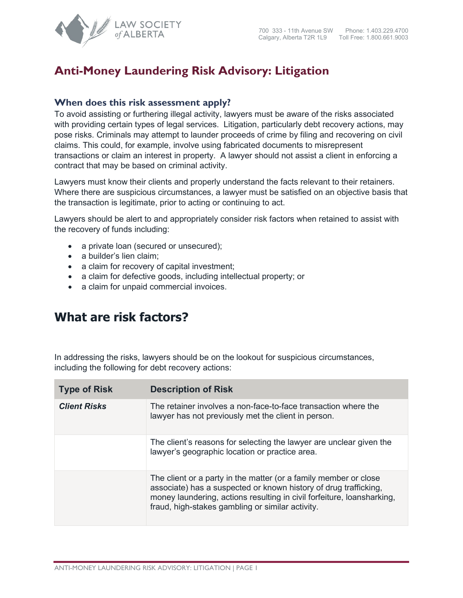

## **Anti-Money Laundering Risk Advisory: Litigation**

## **When does this risk assessment apply?**

To avoid assisting or furthering illegal activity, lawyers must be aware of the risks associated with providing certain types of legal services. Litigation, particularly debt recovery actions, may pose risks. Criminals may attempt to launder proceeds of crime by filing and recovering on civil claims. This could, for example, involve using fabricated documents to misrepresent transactions or claim an interest in property. A lawyer should not assist a client in enforcing a contract that may be based on criminal activity.

Lawyers must know their clients and properly understand the facts relevant to their retainers. Where there are suspicious circumstances, a lawyer must be satisfied on an objective basis that the transaction is legitimate, prior to acting or continuing to act.

Lawyers should be alert to and appropriately consider risk factors when retained to assist with the recovery of funds including:

- a private loan (secured or unsecured);
- a builder's lien claim;
- a claim for recovery of capital investment;
- a claim for defective goods, including intellectual property; or
- a claim for unpaid commercial invoices.

## **What are risk factors?**

In addressing the risks, lawyers should be on the lookout for suspicious circumstances, including the following for debt recovery actions:

| <b>Type of Risk</b> | <b>Description of Risk</b>                                                                                                                                                                                                                                         |
|---------------------|--------------------------------------------------------------------------------------------------------------------------------------------------------------------------------------------------------------------------------------------------------------------|
| <b>Client Risks</b> | The retainer involves a non-face-to-face transaction where the<br>lawyer has not previously met the client in person.                                                                                                                                              |
|                     | The client's reasons for selecting the lawyer are unclear given the<br>lawyer's geographic location or practice area.                                                                                                                                              |
|                     | The client or a party in the matter (or a family member or close<br>associate) has a suspected or known history of drug trafficking,<br>money laundering, actions resulting in civil forfeiture, loansharking,<br>fraud, high-stakes gambling or similar activity. |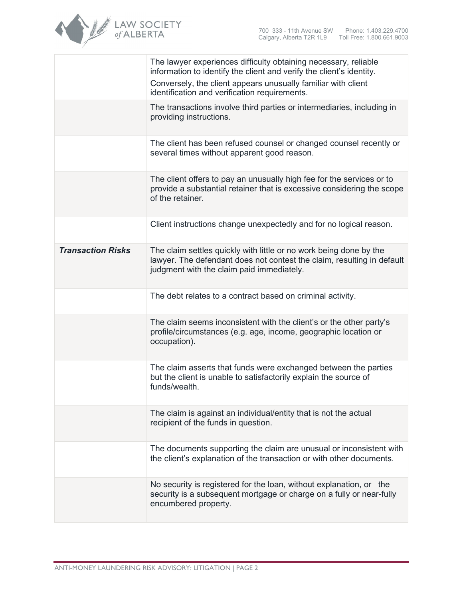

|                          | The lawyer experiences difficulty obtaining necessary, reliable<br>information to identify the client and verify the client's identity.<br>Conversely, the client appears unusually familiar with client<br>identification and verification requirements. |
|--------------------------|-----------------------------------------------------------------------------------------------------------------------------------------------------------------------------------------------------------------------------------------------------------|
|                          | The transactions involve third parties or intermediaries, including in<br>providing instructions.                                                                                                                                                         |
|                          | The client has been refused counsel or changed counsel recently or<br>several times without apparent good reason.                                                                                                                                         |
|                          | The client offers to pay an unusually high fee for the services or to<br>provide a substantial retainer that is excessive considering the scope<br>of the retainer.                                                                                       |
|                          | Client instructions change unexpectedly and for no logical reason.                                                                                                                                                                                        |
| <b>Transaction Risks</b> | The claim settles quickly with little or no work being done by the<br>lawyer. The defendant does not contest the claim, resulting in default<br>judgment with the claim paid immediately.                                                                 |
|                          | The debt relates to a contract based on criminal activity.                                                                                                                                                                                                |
|                          | The claim seems inconsistent with the client's or the other party's<br>profile/circumstances (e.g. age, income, geographic location or<br>occupation).                                                                                                    |
|                          | The claim asserts that funds were exchanged between the parties<br>but the client is unable to satisfactorily explain the source of<br>funds/wealth.                                                                                                      |
|                          | The claim is against an individual/entity that is not the actual<br>recipient of the funds in question.                                                                                                                                                   |
|                          | The documents supporting the claim are unusual or inconsistent with<br>the client's explanation of the transaction or with other documents.                                                                                                               |
|                          | No security is registered for the loan, without explanation, or the<br>security is a subsequent mortgage or charge on a fully or near-fully<br>encumbered property.                                                                                       |